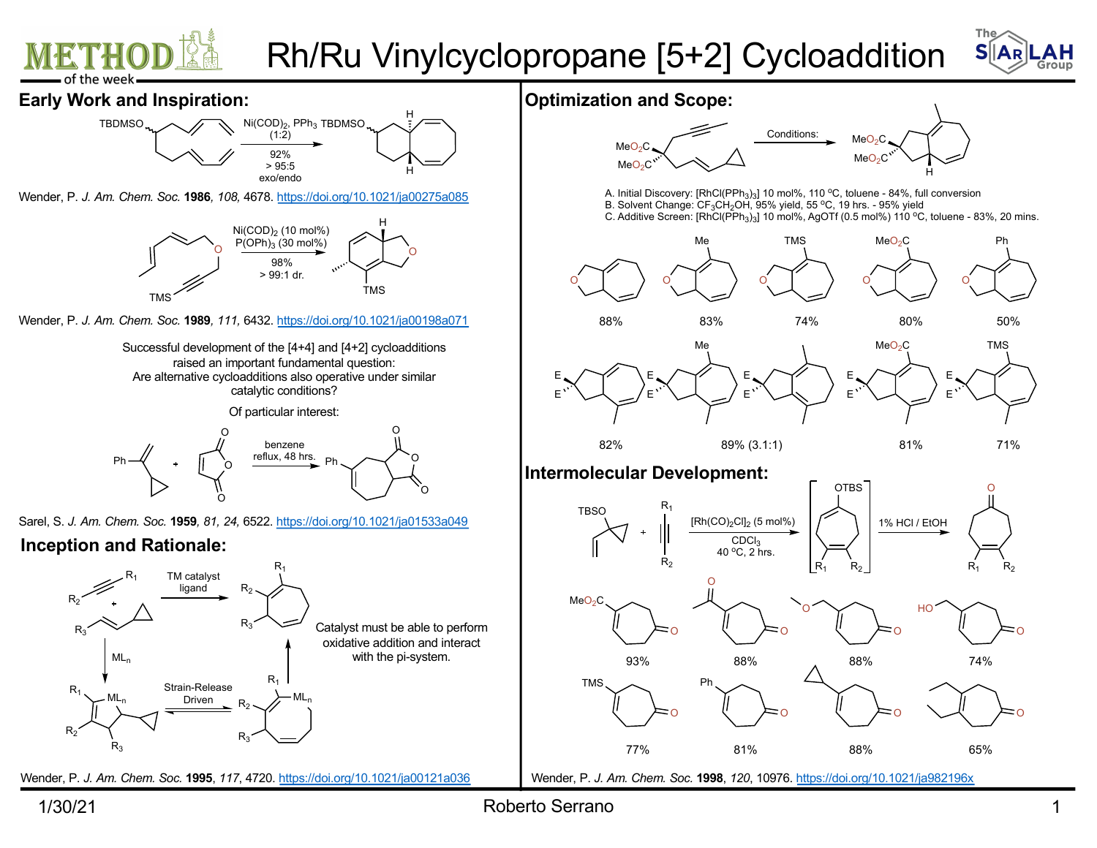







Wender, P. *J. Am. Chem. Soc.* **1986***, 108,* 46[78. https://doi.org/10.1021/ja00275a0](https://doi.org/10.1021/ja00275a085)85



Wender, P. *J. Am. Chem. Soc.* **1989***, 111,* 64[32. https://doi.org/10.1021/ja00198a0](https://doi.org/10.1021/ja00198a071)71

Successful development of the [4+4] and [4+2] cycloadditions raised an important fundamental question: Are alternative cycloadditions also operative under similar catalytic conditions?

Of particular interest:



Sarel, S. *J. Am. Chem. Soc.* **1959***, 81, 24,* 65[22. https://doi.org/10.1021/ja01533a0](https://doi.org/10.1021/ja01533a049)49

## **Inception and Rationale:**



Wender, P. *J. Am. Chem. Soc.* **1995**, *117*, 47[20. https://doi.org/10.1021/ja00121a0](https://doi.org/10.1021/ja00121a036)36

**Optimization and Scope:**



A. Initial Discovery: [RhCl(PPh<sub>3</sub>)<sub>3</sub>] 10 mol%, 110 °C, toluene - 84%, full conversion B. Solvent Change: CF<sub>3</sub>CH<sub>2</sub>OH, 95% yield, 55 °C, 19 hrs. - 95% yield

C. Additive Screen:  $[RnCl(PPh<sub>3</sub>)<sub>3</sub>]$  10 mol%, AgOTf (0.5 mol%) 110 °C, toluene - 83%, 20 mins.





82% 89% (3.1:1) 81% 71%

## **Intermolecular Development:**



Wender, P. *J. Am. Chem. Soc.* **1998**, *120*, 109[76. https://doi.org/10.1021/ja98219](https://doi.org/10.1021/ja982196x)6x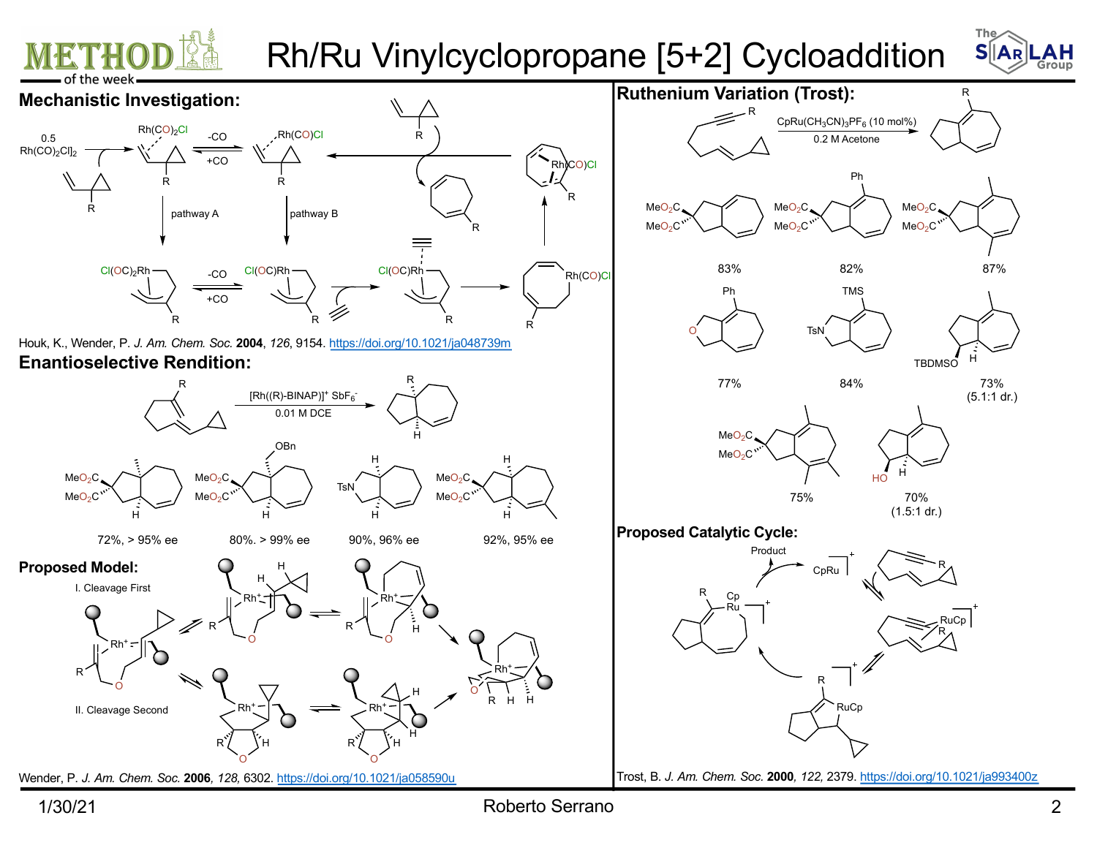